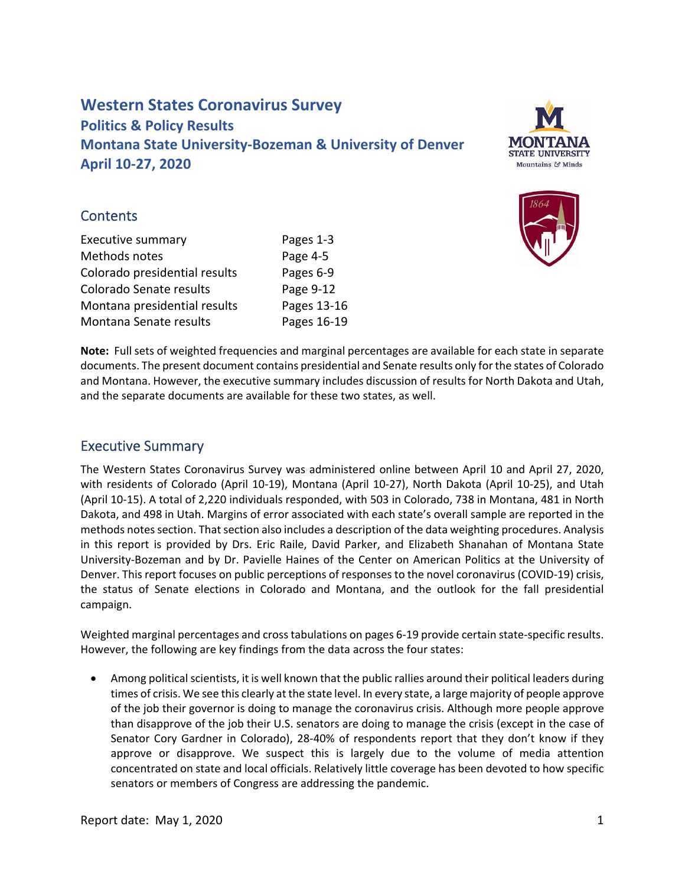# **Western States Coronavirus Survey Politics & Policy Results Montana State University‐Bozeman & University of Denver April 10‐27, 2020**



#### **Contents**

Pages 1-3 Page 4-5 Colorado presidential results Pages 6‐9 Colorado Senate results Page 9-12 Montana presidential results Pages 13-16 Pages 16-19 Executive summary Methods notes Montana Senate results



 **Note:** Full sets of weighted frequencies and marginal percentages are available for each state in separate documents. The present document contains presidential and Senate results only forthe states of Colorado and Montana. However, the executive summary includes discussion of results for North Dakota and Utah, and the separate documents are available for these two states, as well.

## Executive Summary

 The Western States Coronavirus Survey was administered online between April 10 and April 27, 2020, with residents of Colorado (April 10‐19), Montana (April 10‐27), North Dakota (April 10‐25), and Utah (April 10‐15). A total of 2,220 individuals responded, with 503 in Colorado, 738 in Montana, 481 in North Dakota, and 498 in Utah. Margins of error associated with each state's overall sample are reported in the methods notes section. That section also includes a description of the data weighting procedures. Analysis in this report is provided by Drs. Eric Raile, David Parker, and Elizabeth Shanahan of Montana State University‐Bozeman and by Dr. Pavielle Haines of the Center on American Politics at the University of Denver. This report focuses on public perceptions of responses to the novel coronavirus (COVID‐19) crisis, the status of Senate elections in Colorado and Montana, and the outlook for the fall presidential campaign.

 Weighted marginal percentages and crosstabulations on pages 6‐19 provide certain state‐specific results. However, the following are key findings from the data across the four states:

• Among political scientists, it is well known that the public rallies around their political leaders during times of crisis. We see this clearly at the state level. In every state, a large majority of people approve of the job their governor is doing to manage the coronavirus crisis. Although more people approve than disapprove of the job their U.S. senators are doing to manage the crisis (except in the case of Senator Cory Gardner in Colorado), 28‐40% of respondents report that they don't know if they approve or disapprove. We suspect this is largely due to the volume of media attention concentrated on state and local officials. Relatively little coverage has been devoted to how specific senators or members of Congress are addressing the pandemic.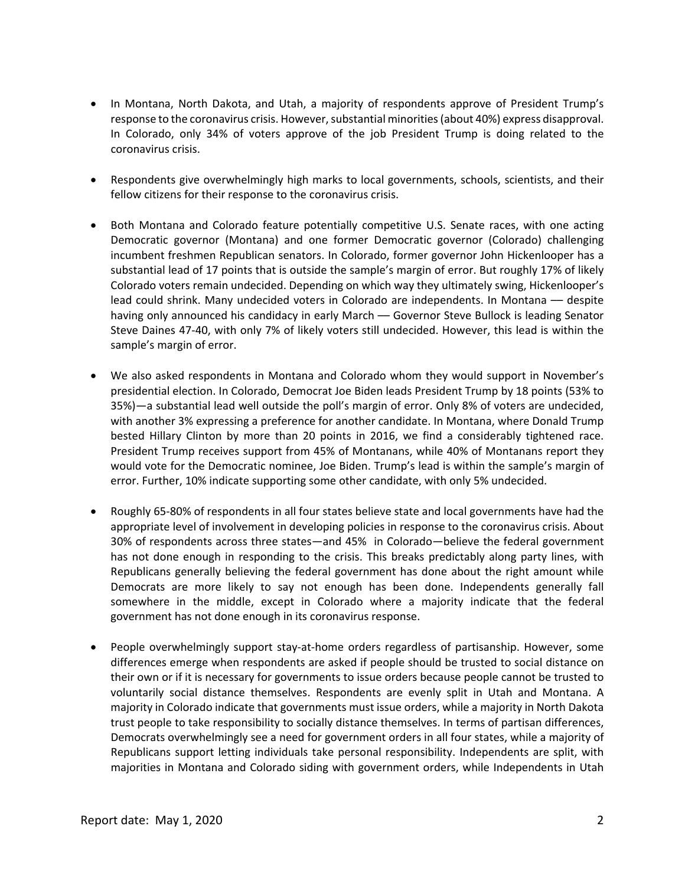- In Montana, North Dakota, and Utah, a majority of respondents approve of President Trump's response to the coronavirus crisis. However, substantial minorities (about 40%) express disapproval. In Colorado, only 34% of voters approve of the job President Trump is doing related to the coronavirus crisis.
- Respondents give overwhelmingly high marks to local governments, schools, scientists, and their fellow citizens for their response to the coronavirus crisis.
- Both Montana and Colorado feature potentially competitive U.S. Senate races, with one acting Democratic governor (Montana) and one former Democratic governor (Colorado) challenging incumbent freshmen Republican senators. In Colorado, former governor John Hickenlooper has a substantial lead of 17 points that is outside the sample's margin of error. But roughly 17% of likely Colorado voters remain undecided. Depending on which way they ultimately swing, Hickenlooper's lead could shrink. Many undecided voters in Colorado are independents. In Montana –– despite having only announced his candidacy in early March –– Governor Steve Bullock is leading Senator Steve Daines 47‐40, with only 7% of likely voters still undecided. However, this lead is within the sample's margin of error.
- We also asked respondents in Montana and Colorado whom they would support in November's presidential election. In Colorado, Democrat Joe Biden leads President Trump by 18 points (53% to 35%)—a substantial lead well outside the poll's margin of error. Only 8% of voters are undecided, with another 3% expressing a preference for another candidate. In Montana, where Donald Trump bested Hillary Clinton by more than 20 points in 2016, we find a considerably tightened race. President Trump receives support from 45% of Montanans, while 40% of Montanans report they would vote for the Democratic nominee, Joe Biden. Trump's lead is within the sample's margin of error. Further, 10% indicate supporting some other candidate, with only 5% undecided.
- Roughly 65-80% of respondents in all four states believe state and local governments have had the appropriate level of involvement in developing policies in response to the coronavirus crisis. About 30% of respondents across three states—and 45% in Colorado—believe the federal government has not done enough in responding to the crisis. This breaks predictably along party lines, with Republicans generally believing the federal government has done about the right amount while Democrats are more likely to say not enough has been done. Independents generally fall somewhere in the middle, except in Colorado where a majority indicate that the federal government has not done enough in its coronavirus response.
- People overwhelmingly support stay-at-home orders regardless of partisanship. However, some differences emerge when respondents are asked if people should be trusted to social distance on their own or if it is necessary for governments to issue orders because people cannot be trusted to voluntarily social distance themselves. Respondents are evenly split in Utah and Montana. A majority in Colorado indicate that governments must issue orders, while a majority in North Dakota trust people to take responsibility to socially distance themselves. In terms of partisan differences, Democrats overwhelmingly see a need for government orders in all four states, while a majority of Republicans support letting individuals take personal responsibility. Independents are split, with majorities in Montana and Colorado siding with government orders, while Independents in Utah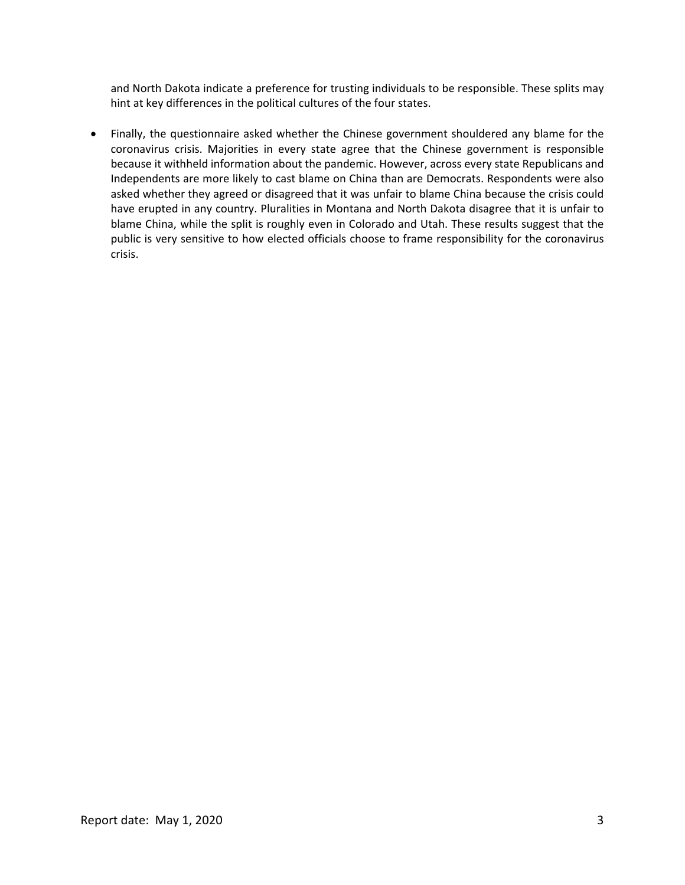and North Dakota indicate a preference for trusting individuals to be responsible. These splits may hint at key differences in the political cultures of the four states.

 Finally, the questionnaire asked whether the Chinese government shouldered any blame for the coronavirus crisis. Majorities in every state agree that the Chinese government is responsible because it withheld information about the pandemic. However, across every state Republicans and Independents are more likely to cast blame on China than are Democrats. Respondents were also asked whether they agreed or disagreed that it was unfair to blame China because the crisis could have erupted in any country. Pluralities in Montana and North Dakota disagree that it is unfair to blame China, while the split is roughly even in Colorado and Utah. These results suggest that the public is very sensitive to how elected officials choose to frame responsibility for the coronavirus crisis.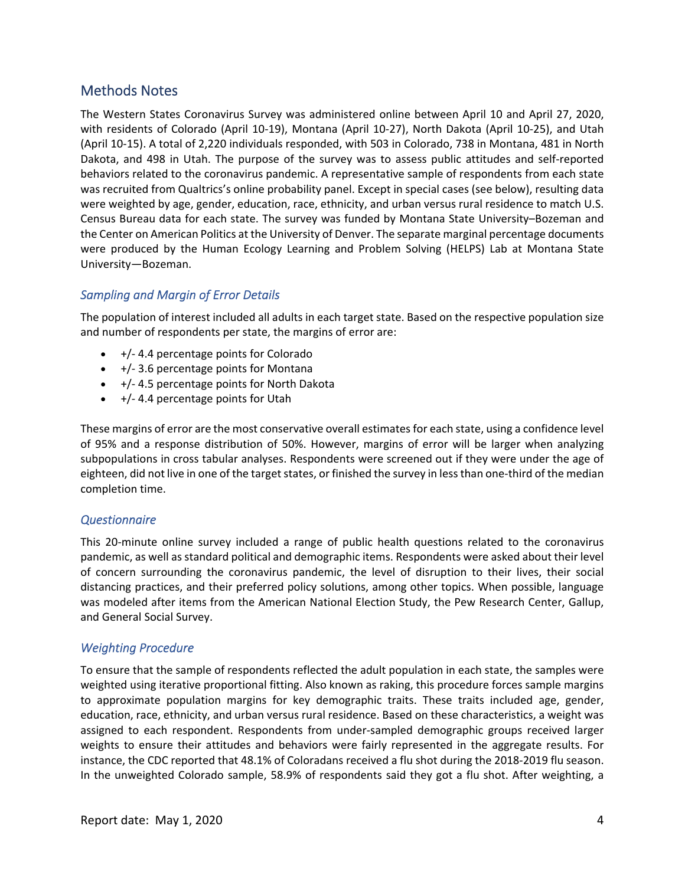## Methods Notes

 The Western States Coronavirus Survey was administered online between April 10 and April 27, 2020, with residents of Colorado (April 10‐19), Montana (April 10‐27), North Dakota (April 10‐25), and Utah (April 10‐15). A total of 2,220 individuals responded, with 503 in Colorado, 738 in Montana, 481 in North Dakota, and 498 in Utah. The purpose of the survey was to assess public attitudes and self‐reported behaviors related to the coronavirus pandemic. A representative sample of respondents from each state was recruited from Qualtrics's online probability panel. Except in special cases (see below), resulting data were weighted by age, gender, education, race, ethnicity, and urban versus rural residence to match U.S. Census Bureau data for each state. The survey was funded by Montana State University–Bozeman and the Center on American Politics at the University of Denver. The separate marginal percentage documents were produced by the Human Ecology Learning and Problem Solving (HELPS) Lab at Montana State University—Bozeman.

#### *Sampling and Margin of Error Details*

 The population of interest included all adults in each target state. Based on the respective population size and number of respondents per state, the margins of error are:

- +/‐ 4.4 percentage points for Colorado
- +/‐ 3.6 percentage points for Montana
- +/‐ 4.5 percentage points for North Dakota
- +/‐ 4.4 percentage points for Utah

These margins of error are the most conservative overall estimates for each state, using a confidence level of 95% and a response distribution of 50%. However, margins of error will be larger when analyzing subpopulations in cross tabular analyses. Respondents were screened out if they were under the age of eighteen, did not live in one of the target states, or finished the survey in less than one-third of the median completion time.

#### *Questionnaire*

This 20-minute online survey included a range of public health questions related to the coronavirus pandemic, as well as standard political and demographic items. Respondents were asked about their level of concern surrounding the coronavirus pandemic, the level of disruption to their lives, their social distancing practices, and their preferred policy solutions, among other topics. When possible, language was modeled after items from the American National Election Study, the Pew Research Center, Gallup, and General Social Survey.

#### *Weighting Procedure*

 To ensure that the sample of respondents reflected the adult population in each state, the samples were weighted using iterative proportional fitting. Also known as raking, this procedure forces sample margins to approximate population margins for key demographic traits. These traits included age, gender, education, race, ethnicity, and urban versus rural residence. Based on these characteristics, a weight was assigned to each respondent. Respondents from under‐sampled demographic groups received larger weights to ensure their attitudes and behaviors were fairly represented in the aggregate results. For instance, the CDC reported that 48.1% of Coloradans received a flu shot during the 2018‐2019 flu season. In the unweighted Colorado sample, 58.9% of respondents said they got a flu shot. After weighting, a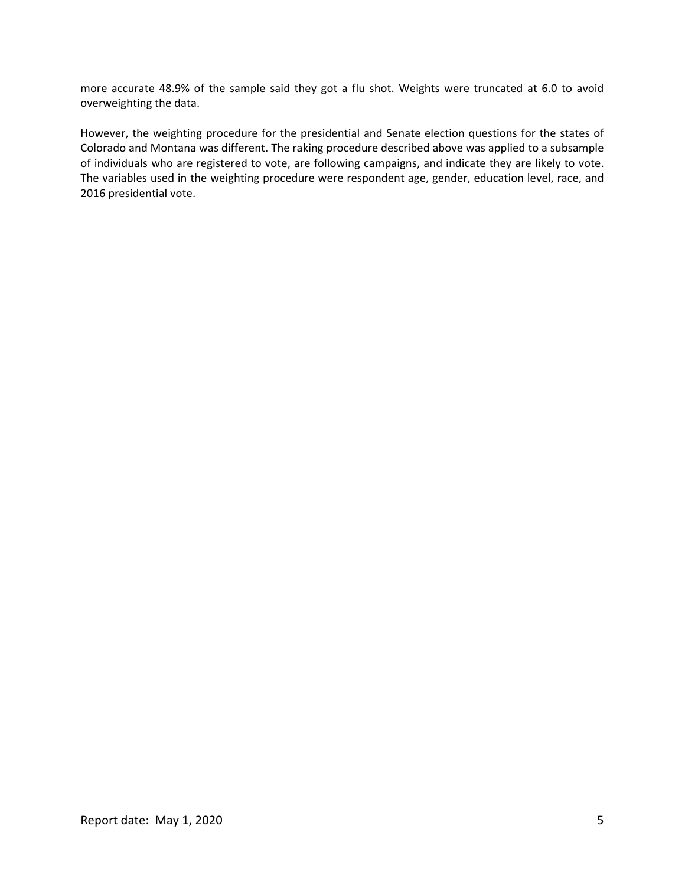more accurate 48.9% of the sample said they got a flu shot. Weights were truncated at 6.0 to avoid overweighting the data.

 However, the weighting procedure for the presidential and Senate election questions for the states of Colorado and Montana was different. The raking procedure described above was applied to a subsample of individuals who are registered to vote, are following campaigns, and indicate they are likely to vote. The variables used in the weighting procedure were respondent age, gender, education level, race, and 2016 presidential vote.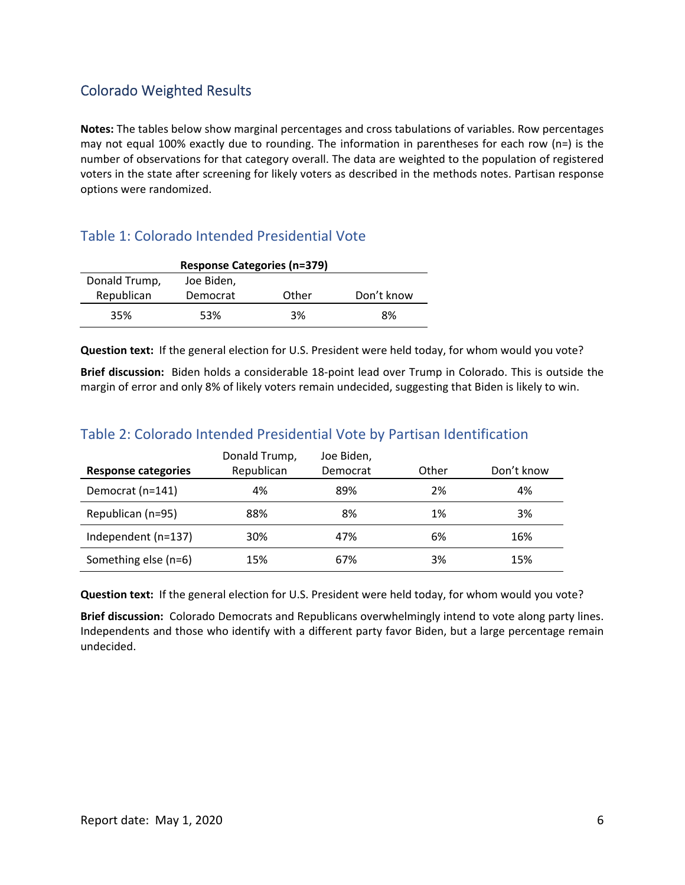# Colorado Weighted Results

 **Notes:** The tables below show marginal percentages and cross tabulations of variables. Row percentages may not equal 100% exactly due to rounding. The information in parentheses for each row (n=) is the number of observations for that category overall. The data are weighted to the population of registered voters in the state after screening for likely voters as described in the methods notes. Partisan response options were randomized.

# Table 1: Colorado Intended Presidential Vote

| <b>Response Categories (n=379)</b> |          |       |            |  |  |
|------------------------------------|----------|-------|------------|--|--|
| Donald Trump,<br>Joe Biden,        |          |       |            |  |  |
| Republican                         | Democrat | Other | Don't know |  |  |
| 35%                                | 53%      | 3%    | 8%         |  |  |

**Question text:** If the general election for U.S. President were held today, for whom would you vote?

 **Brief discussion:** Biden holds a considerable 18‐point lead over Trump in Colorado. This is outside the margin of error and only 8% of likely voters remain undecided, suggesting that Biden is likely to win.

# Table 2: Colorado Intended Presidential Vote by Partisan Identification

|                      | Donald Trump, | Joe Biden, |       |            |
|----------------------|---------------|------------|-------|------------|
| Response categories  | Republican    | Democrat   | Other | Don't know |
| Democrat (n=141)     | 4%            | 89%        | 2%    | 4%         |
| Republican (n=95)    | 88%           | 8%         | 1%    | 3%         |
| Independent (n=137)  | 30%           | 47%        | 6%    | 16%        |
| Something else (n=6) | 15%           | 67%        | 3%    | 15%        |

**Question text:** If the general election for U.S. President were held today, for whom would you vote?

Brief discussion: Colorado Democrats and Republicans overwhelmingly intend to vote along party lines. Independents and those who identify with a different party favor Biden, but a large percentage remain undecided.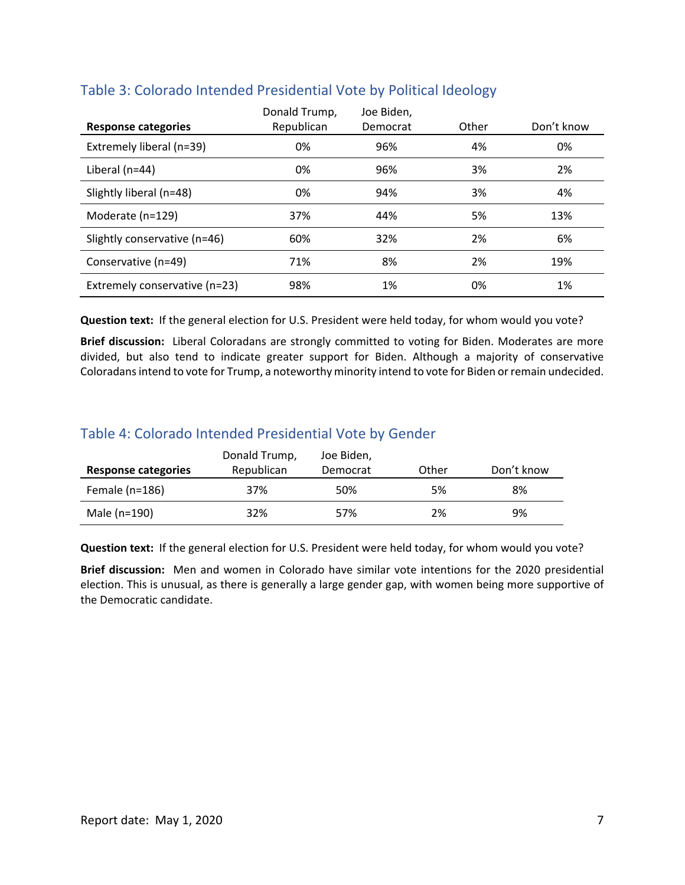| <b>Response categories</b>    | Donald Trump,<br>Republican | Joe Biden,<br>Democrat | Other | Don't know |
|-------------------------------|-----------------------------|------------------------|-------|------------|
| Extremely liberal (n=39)      | 0%                          | 96%                    | 4%    | 0%         |
| Liberal $(n=44)$              | 0%                          | 96%                    | 3%    | 2%         |
| Slightly liberal (n=48)       | 0%                          | 94%                    | 3%    | 4%         |
| Moderate (n=129)              | 37%                         | 44%                    | 5%    | 13%        |
| Slightly conservative (n=46)  | 60%                         | 32%                    | 2%    | 6%         |
| Conservative (n=49)           | 71%                         | 8%                     | 2%    | 19%        |
| Extremely conservative (n=23) | 98%                         | 1%                     | 0%    | 1%         |

## Table 3: Colorado Intended Presidential Vote by Political Ideology

**Question text:** If the general election for U.S. President were held today, for whom would you vote?

Brief discussion: Liberal Coloradans are strongly committed to voting for Biden. Moderates are more divided, but also tend to indicate greater support for Biden. Although a majority of conservative Coloradans intend to vote for Trump, a noteworthy minority intend to vote for Biden or remain undecided.

## Table 4: Colorado Intended Presidential Vote by Gender

|                     | Donald Trump, | Joe Biden, |       |            |
|---------------------|---------------|------------|-------|------------|
| Response categories | Republican    | Democrat   | Other | Don't know |
| Female $(n=186)$    | 37%           | 50%        | 5%    | 8%         |
| Male (n=190)        | 32%           | 57%        | 2%    | 9%         |

**Question text:** If the general election for U.S. President were held today, for whom would you vote?

 **Brief discussion:** Men and women in Colorado have similar vote intentions for the 2020 presidential election. This is unusual, as there is generally a large gender gap, with women being more supportive of the Democratic candidate.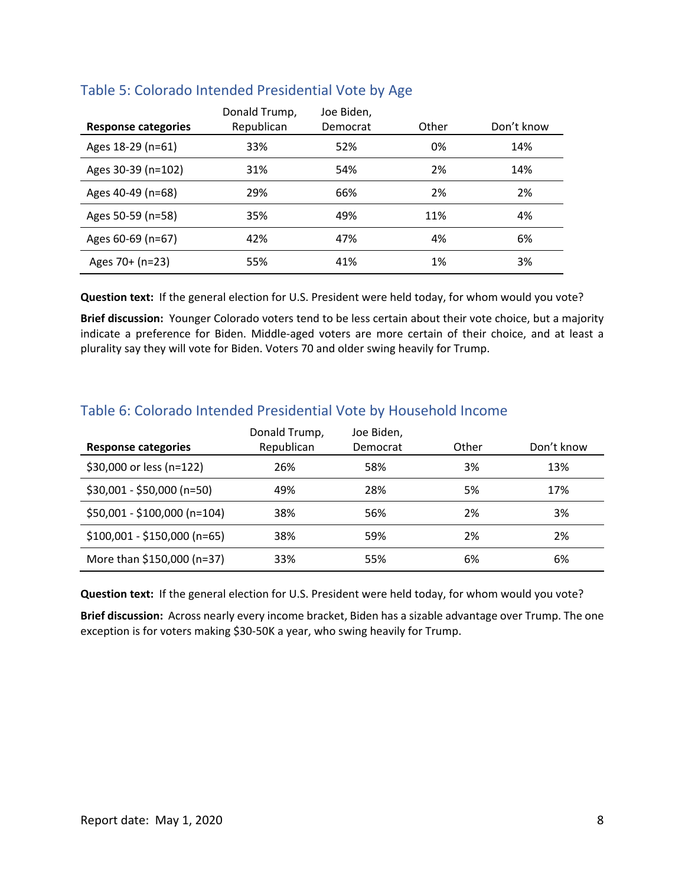|                     | Donald Trump, | Joe Biden, |       |            |
|---------------------|---------------|------------|-------|------------|
| Response categories | Republican    | Democrat   | Other | Don't know |
| Ages 18-29 (n=61)   | 33%           | 52%        | 0%    | 14%        |
| Ages 30-39 (n=102)  | 31%           | 54%        | 2%    | 14%        |
| Ages 40-49 (n=68)   | 29%           | 66%        | 2%    | 2%         |
| Ages 50-59 (n=58)   | 35%           | 49%        | 11%   | 4%         |
| Ages 60-69 (n=67)   | 42%           | 47%        | 4%    | 6%         |
| Ages 70+ (n=23)     | 55%           | 41%        | 1%    | 3%         |

#### Table 5: Colorado Intended Presidential Vote by Age

**Question text:** If the general election for U.S. President were held today, for whom would you vote?

 **Brief discussion:** Younger Colorado voters tend to be less certain about their vote choice, but a majority indicate a preference for Biden. Middle‐aged voters are more certain of their choice, and at least a plurality say they will vote for Biden. Voters 70 and older swing heavily for Trump.

| <b>Response categories</b>   | Donald Trump,<br>Republican | Joe Biden,<br>Democrat | Other | Don't know |  |
|------------------------------|-----------------------------|------------------------|-------|------------|--|
| \$30,000 or less (n=122)     | 26%                         | 58%                    | 3%    | 13%        |  |
| $$30,001 - $50,000$ (n=50)   | 49%                         | 28%                    | 5%    | 17%        |  |
| \$50,001 - \$100,000 (n=104) | 38%                         | 56%                    | 2%    | 3%         |  |
| $$100,001 - $150,000$ (n=65) | 38%                         | 59%                    | 2%    | 2%         |  |
| More than \$150,000 (n=37)   | 33%                         | 55%                    | 6%    | 6%         |  |

# Table 6: Colorado Intended Presidential Vote by Household Income

**Question text:** If the general election for U.S. President were held today, for whom would you vote?

 **Brief discussion:** Across nearly every income bracket, Biden has a sizable advantage over Trump. The one exception is for voters making \$30‐50K a year, who swing heavily for Trump.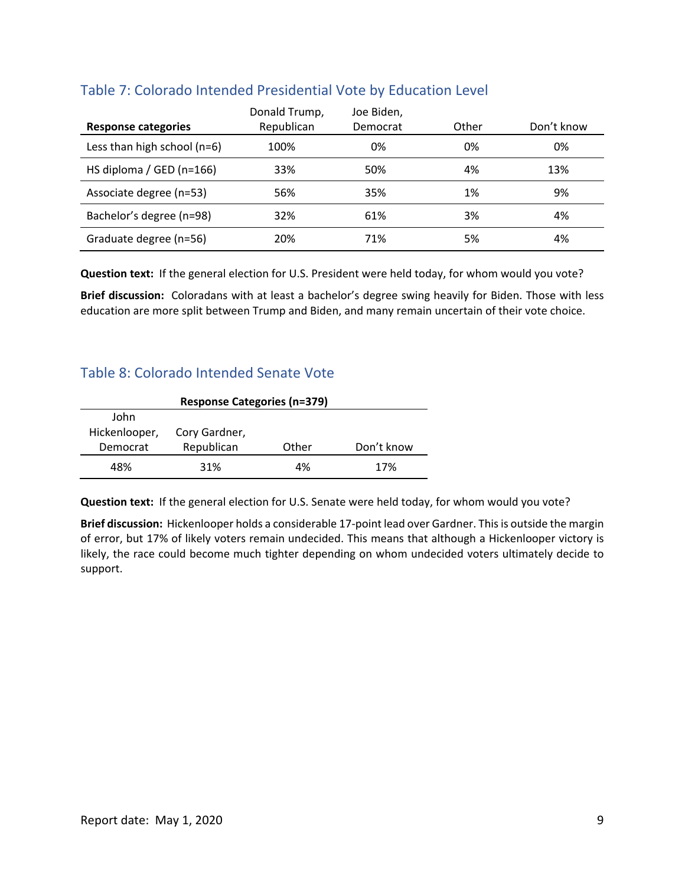| <b>Response categories</b>  | Donald Trump,<br>Republican | Joe Biden,<br>Democrat | Other | Don't know |
|-----------------------------|-----------------------------|------------------------|-------|------------|
| Less than high school (n=6) | 100%                        | 0%                     | 0%    | 0%         |
| HS diploma / GED (n=166)    | 33%                         | 50%                    | 4%    | 13%        |
| Associate degree (n=53)     | 56%                         | 35%                    | 1%    | 9%         |
| Bachelor's degree (n=98)    | 32%                         | 61%                    | 3%    | 4%         |
| Graduate degree (n=56)      | 20%                         | 71%                    | 5%    | 4%         |

## Table 7: Colorado Intended Presidential Vote by Education Level

**Question text:** If the general election for U.S. President were held today, for whom would you vote?

 **Brief discussion:** Coloradans with at least a bachelor's degree swing heavily for Biden. Those with less education are more split between Trump and Biden, and many remain uncertain of their vote choice.

#### Table 8: Colorado Intended Senate Vote

| <b>Response Categories (n=379)</b> |               |       |            |  |
|------------------------------------|---------------|-------|------------|--|
| John                               |               |       |            |  |
| Hickenlooper,                      | Cory Gardner, |       |            |  |
| Democrat                           | Republican    | Other | Don't know |  |
| 48%                                | 31%           | 4%    | 17%        |  |

**Question text:** If the general election for U.S. Senate were held today, for whom would you vote?

 **Brief discussion:** Hickenlooper holds a considerable 17‐point lead over Gardner. Thisis outside the margin of error, but 17% of likely voters remain undecided. This means that although a Hickenlooper victory is likely, the race could become much tighter depending on whom undecided voters ultimately decide to support.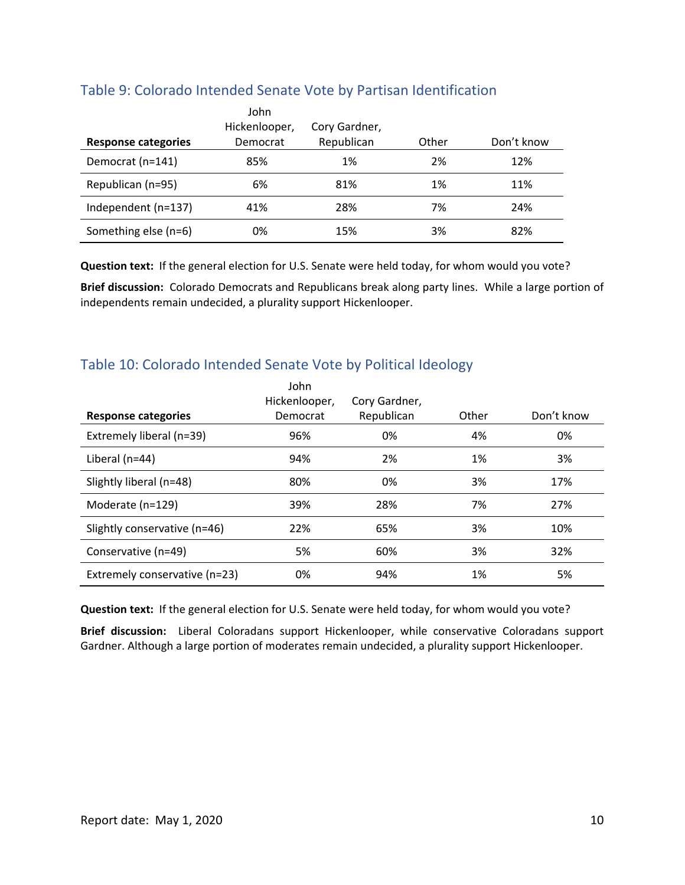|                            | John          |               |       |            |
|----------------------------|---------------|---------------|-------|------------|
|                            | Hickenlooper, | Cory Gardner, |       |            |
| <b>Response categories</b> | Democrat      | Republican    | Other | Don't know |
| Democrat (n=141)           | 85%           | 1%            | 2%    | 12%        |
| Republican (n=95)          | 6%            | 81%           | 1%    | 11%        |
| Independent (n=137)        | 41%           | 28%           | 7%    | 24%        |
| Something else (n=6)       | 0%            | 15%           | 3%    | 82%        |

### Table 9: Colorado Intended Senate Vote by Partisan Identification

**Question text:** If the general election for U.S. Senate were held today, for whom would you vote?

 **Brief discussion:** Colorado Democrats and Republicans break along party lines. While a large portion of independents remain undecided, a plurality support Hickenlooper.

# Table 10: Colorado Intended Senate Vote by Political Ideology

| <b>Response categories</b>    | John<br>Hickenlooper,<br>Democrat | Cory Gardner,<br>Republican | Other | Don't know |
|-------------------------------|-----------------------------------|-----------------------------|-------|------------|
|                               |                                   |                             |       |            |
| Extremely liberal (n=39)      | 96%                               | 0%                          | 4%    | 0%         |
| Liberal (n=44)                | 94%                               | 2%                          | 1%    | 3%         |
| Slightly liberal (n=48)       | 80%                               | 0%                          | 3%    | 17%        |
| Moderate (n=129)              | 39%                               | 28%                         | 7%    | 27%        |
| Slightly conservative (n=46)  | 22%                               | 65%                         | 3%    | 10%        |
| Conservative (n=49)           | 5%                                | 60%                         | 3%    | 32%        |
| Extremely conservative (n=23) | 0%                                | 94%                         | 1%    | 5%         |

**Question text:** If the general election for U.S. Senate were held today, for whom would you vote?

 **Brief discussion:** Liberal Coloradans support Hickenlooper, while conservative Coloradans support Gardner. Although a large portion of moderates remain undecided, a plurality support Hickenlooper.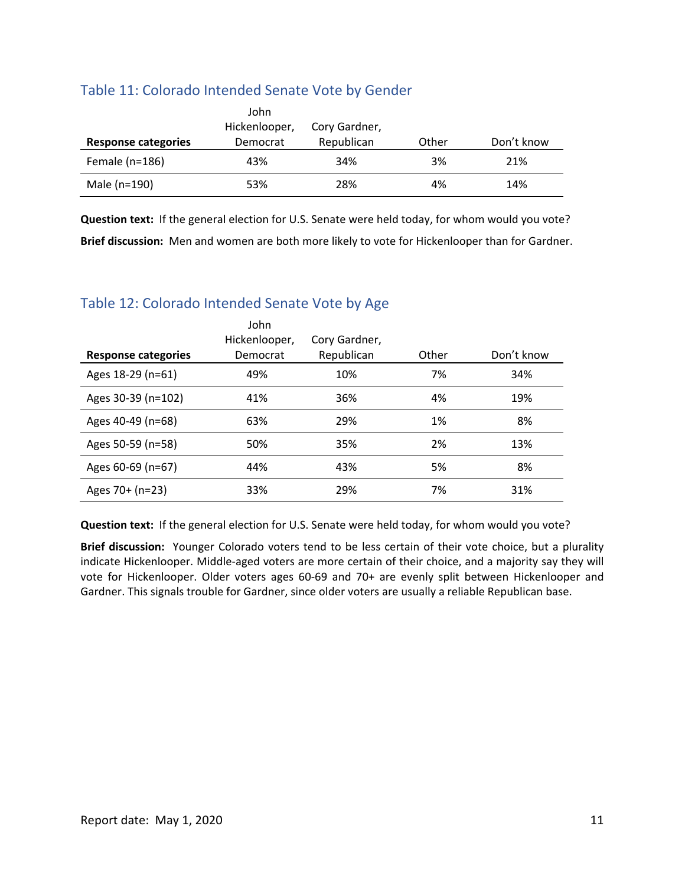### Table 11: Colorado Intended Senate Vote by Gender

|                     | John<br>Hickenlooper, | Cory Gardner, |       |            |
|---------------------|-----------------------|---------------|-------|------------|
| Response categories | Democrat              | Republican    | Other | Don't know |
| Female $(n=186)$    | 43%                   | 34%           | 3%    | 21%        |
| Male (n=190)        | 53%                   | 28%           | 4%    | 14%        |

 **Question text:** If the general election for U.S. Senate were held today, for whom would you vote?  **Brief discussion:** Men and women are both more likely to vote for Hickenlooper than for Gardner.

# Table 12: Colorado Intended Senate Vote by Age

| Response categories | John<br>Hickenlooper,<br>Democrat | Cory Gardner,<br>Republican | Other | Don't know |
|---------------------|-----------------------------------|-----------------------------|-------|------------|
| Ages 18-29 (n=61)   | 49%                               | 10%                         | 7%    | 34%        |
| Ages 30-39 (n=102)  | 41%                               | 36%                         | 4%    | 19%        |
| Ages 40-49 (n=68)   | 63%                               | 29%                         | 1%    | 8%         |
| Ages 50-59 (n=58)   | 50%                               | 35%                         | 2%    | 13%        |
| Ages 60-69 (n=67)   | 44%                               | 43%                         | 5%    | 8%         |
| Ages 70+ (n=23)     | 33%                               | 29%                         | 7%    | 31%        |

**Question text:** If the general election for U.S. Senate were held today, for whom would you vote?

Brief discussion: Younger Colorado voters tend to be less certain of their vote choice, but a plurality indicate Hickenlooper. Middle‐aged voters are more certain of their choice, and a majority say they will vote for Hickenlooper. Older voters ages 60‐69 and 70+ are evenly split between Hickenlooper and Gardner. This signals trouble for Gardner, since older voters are usually a reliable Republican base.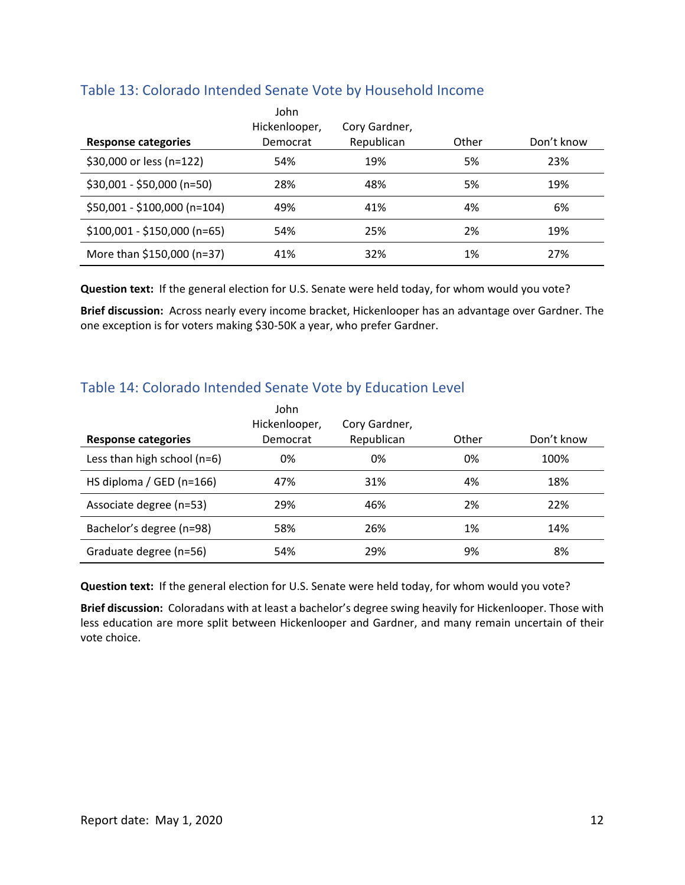| Response categories          | John<br>Hickenlooper,<br>Democrat | Cory Gardner,<br>Republican | Other | Don't know |
|------------------------------|-----------------------------------|-----------------------------|-------|------------|
| \$30,000 or less (n=122)     | 54%                               | 19%                         | 5%    | 23%        |
| $$30,001 - $50,000$ (n=50)   | 28%                               | 48%                         | 5%    | 19%        |
| \$50,001 - \$100,000 (n=104) | 49%                               | 41%                         | 4%    | 6%         |
| $$100,001 - $150,000$ (n=65) | 54%                               | 25%                         | 2%    | 19%        |
| More than \$150,000 (n=37)   | 41%                               | 32%                         | 1%    | 27%        |

## Table 13: Colorado Intended Senate Vote by Household Income

**Question text:** If the general election for U.S. Senate were held today, for whom would you vote?

 **Brief discussion:** Across nearly every income bracket, Hickenlooper has an advantage over Gardner. The one exception is for voters making \$30‐50K a year, who prefer Gardner.

## Table 14: Colorado Intended Senate Vote by Education Level

| Response categories           | John<br>Hickenlooper,<br>Democrat | Cory Gardner,<br>Republican | Other | Don't know |
|-------------------------------|-----------------------------------|-----------------------------|-------|------------|
| Less than high school $(n=6)$ | 0%                                | 0%                          | 0%    | 100%       |
| HS diploma / GED ( $n=166$ )  | 47%                               | 31%                         | 4%    | 18%        |
| Associate degree (n=53)       | 29%                               | 46%                         | 2%    | 22%        |
| Bachelor's degree (n=98)      | 58%                               | 26%                         | 1%    | 14%        |
| Graduate degree (n=56)        | 54%                               | 29%                         | 9%    | 8%         |

**Question text:** If the general election for U.S. Senate were held today, for whom would you vote?

 **Brief discussion:** Coloradans with at least a bachelor's degree swing heavily for Hickenlooper. Those with less education are more split between Hickenlooper and Gardner, and many remain uncertain of their vote choice.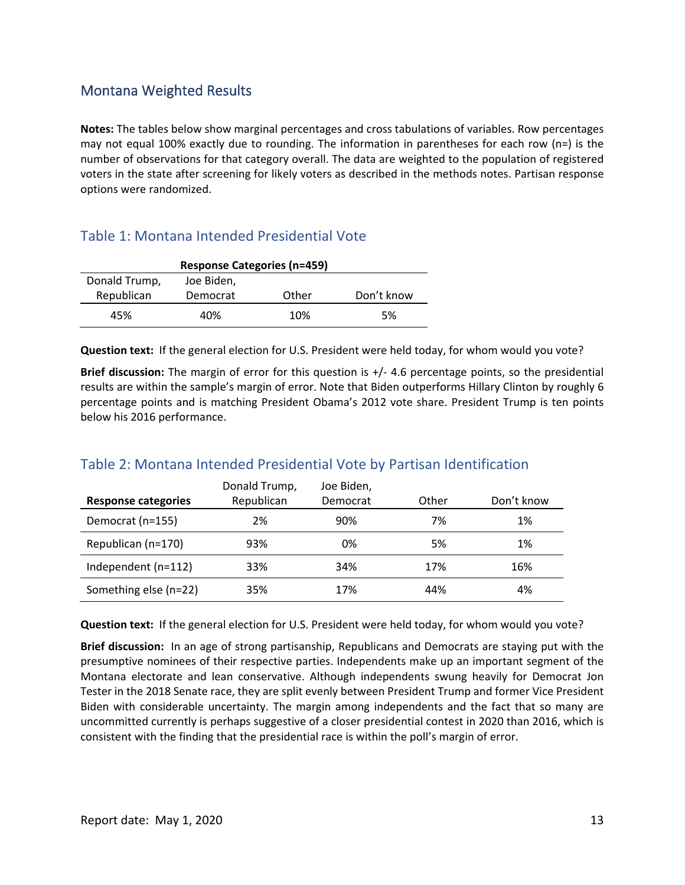## Montana Weighted Results

 **Notes:** The tables below show marginal percentages and cross tabulations of variables. Row percentages may not equal 100% exactly due to rounding. The information in parentheses for each row (n=) is the number of observations for that category overall. The data are weighted to the population of registered voters in the state after screening for likely voters as described in the methods notes. Partisan response options were randomized.

## Table 1: Montana Intended Presidential Vote

| <b>Response Categories (n=459)</b> |          |       |            |  |  |
|------------------------------------|----------|-------|------------|--|--|
| Donald Trump,<br>Joe Biden,        |          |       |            |  |  |
| Republican                         | Democrat | Other | Don't know |  |  |
| 45%                                | 40%      | 10%   | 5%         |  |  |

**Question text:** If the general election for U.S. President were held today, for whom would you vote?

 **Brief discussion:** The margin of error for this question is +/‐ 4.6 percentage points, so the presidential results are within the sample's margin of error. Note that Biden outperforms Hillary Clinton by roughly 6 percentage points and is matching President Obama's 2012 vote share. President Trump is ten points below his 2016 performance.

#### **Response categories** Republican Democrat Other Don't know Joe Biden, Don't know Democrat (n=155) 2% 90% 7% 1% Republican (n=170) 93% 0% 5% 1% Independent (n=112) 33% 34% 17% 16% Something else (n=22) 35% 17% 44% 4% Donald Trump,

## Table 2: Montana Intended Presidential Vote by Partisan Identification

**Question text:** If the general election for U.S. President were held today, for whom would you vote?

 **Brief discussion:** In an age of strong partisanship, Republicans and Democrats are staying put with the presumptive nominees of their respective parties. Independents make up an important segment of the Montana electorate and lean conservative. Although independents swung heavily for Democrat Jon Tester in the 2018 Senate race, they are split evenly between President Trump and former Vice President Biden with considerable uncertainty. The margin among independents and the fact that so many are uncommitted currently is perhaps suggestive of a closer presidential contest in 2020 than 2016, which is consistent with the finding that the presidential race is within the poll's margin of error.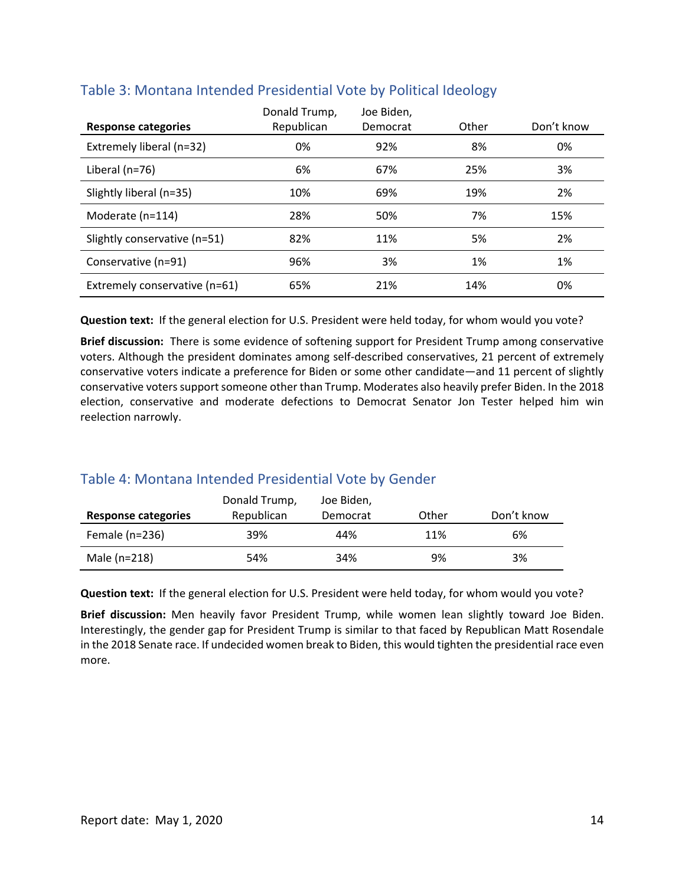| <b>Response categories</b>    | Donald Trump,<br>Republican | Joe Biden,<br>Democrat | Other | Don't know |
|-------------------------------|-----------------------------|------------------------|-------|------------|
| Extremely liberal (n=32)      | 0%                          | 92%                    | 8%    | 0%         |
| Liberal (n=76)                | 6%                          | 67%                    | 25%   | 3%         |
| Slightly liberal (n=35)       | 10%                         | 69%                    | 19%   | 2%         |
| Moderate (n=114)              | 28%                         | 50%                    | 7%    | 15%        |
| Slightly conservative (n=51)  | 82%                         | 11%                    | 5%    | 2%         |
| Conservative (n=91)           | 96%                         | 3%                     | 1%    | 1%         |
| Extremely conservative (n=61) | 65%                         | 21%                    | 14%   | 0%         |

## Table 3: Montana Intended Presidential Vote by Political Ideology

**Question text:** If the general election for U.S. President were held today, for whom would you vote?

 **Brief discussion:** There is some evidence of softening support for President Trump among conservative voters. Although the president dominates among self‐described conservatives, 21 percent of extremely conservative voters indicate a preference for Biden or some other candidate—and 11 percent of slightly conservative voters support someone other than Trump. Moderates also heavily prefer Biden. In the 2018 election, conservative and moderate defections to Democrat Senator Jon Tester helped him win reelection narrowly.

# Table 4: Montana Intended Presidential Vote by Gender

|                     | Donald Trump, | Joe Biden, |       |            |
|---------------------|---------------|------------|-------|------------|
| Response categories | Republican    | Democrat   | Other | Don't know |
| Female $(n=236)$    | 39%           | 44%        | 11%   | 6%         |
| Male (n=218)        | 54%           | 34%        | 9%    | 3%         |

**Question text:** If the general election for U.S. President were held today, for whom would you vote?

 **Brief discussion:** Men heavily favor President Trump, while women lean slightly toward Joe Biden. Interestingly, the gender gap for President Trump is similar to that faced by Republican Matt Rosendale in the 2018 Senate race. If undecided women break to Biden, this would tighten the presidential race even more.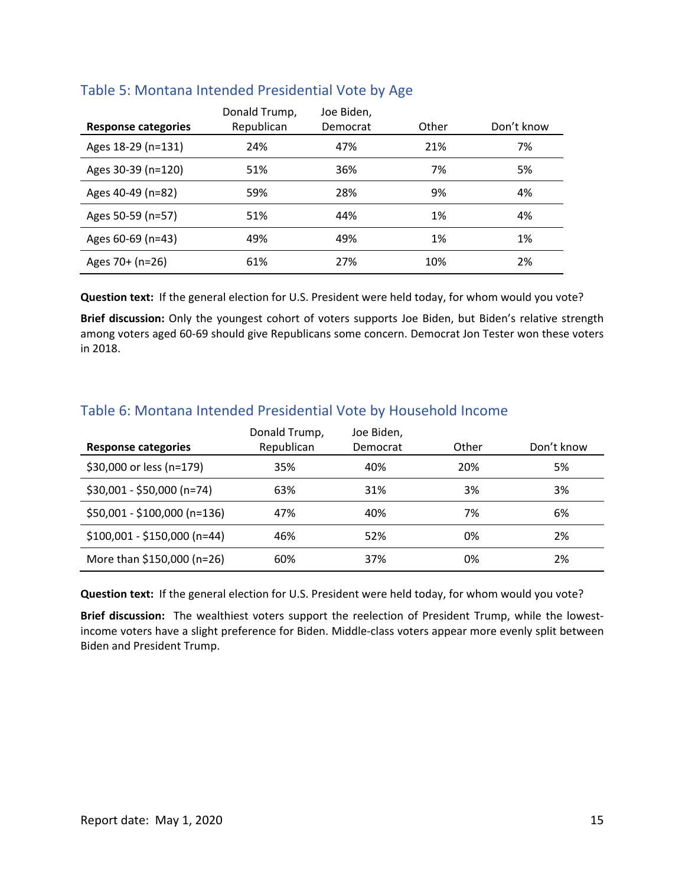|                            | Donald Trump, | Joe Biden, |       |            |
|----------------------------|---------------|------------|-------|------------|
| <b>Response categories</b> | Republican    | Democrat   | Other | Don't know |
| Ages 18-29 (n=131)         | 24%           | 47%        | 21%   | 7%         |
| Ages 30-39 (n=120)         | 51%           | 36%        | 7%    | 5%         |
| Ages 40-49 (n=82)          | 59%           | 28%        | 9%    | 4%         |
| Ages 50-59 (n=57)          | 51%           | 44%        | 1%    | 4%         |
| Ages $60-69$ (n=43)        | 49%           | 49%        | 1%    | 1%         |
| Ages $70+$ (n=26)          | 61%           | 27%        | 10%   | 2%         |

#### Table 5: Montana Intended Presidential Vote by Age

**Question text:** If the general election for U.S. President were held today, for whom would you vote?

 **Brief discussion:** Only the youngest cohort of voters supports Joe Biden, but Biden's relative strength among voters aged 60‐69 should give Republicans some concern. Democrat Jon Tester won these voters in 2018.

|                              | Donald Trump, | Joe Biden, |       |            |
|------------------------------|---------------|------------|-------|------------|
| <b>Response categories</b>   | Republican    | Democrat   | Other | Don't know |
| \$30,000 or less (n=179)     | 35%           | 40%        | 20%   | 5%         |
| \$30,001 - \$50,000 (n=74)   | 63%           | 31%        | 3%    | 3%         |
| \$50,001 - \$100,000 (n=136) | 47%           | 40%        | 7%    | 6%         |
| $$100,001 - $150,000$ (n=44) | 46%           | 52%        | 0%    | 2%         |
| More than \$150,000 (n=26)   | 60%           | 37%        | 0%    | 2%         |

# Table 6: Montana Intended Presidential Vote by Household Income

**Question text:** If the general election for U.S. President were held today, for whom would you vote?

 **Brief discussion:** The wealthiest voters support the reelection of President Trump, while the lowest‐ income voters have a slight preference for Biden. Middle‐class voters appear more evenly split between Biden and President Trump.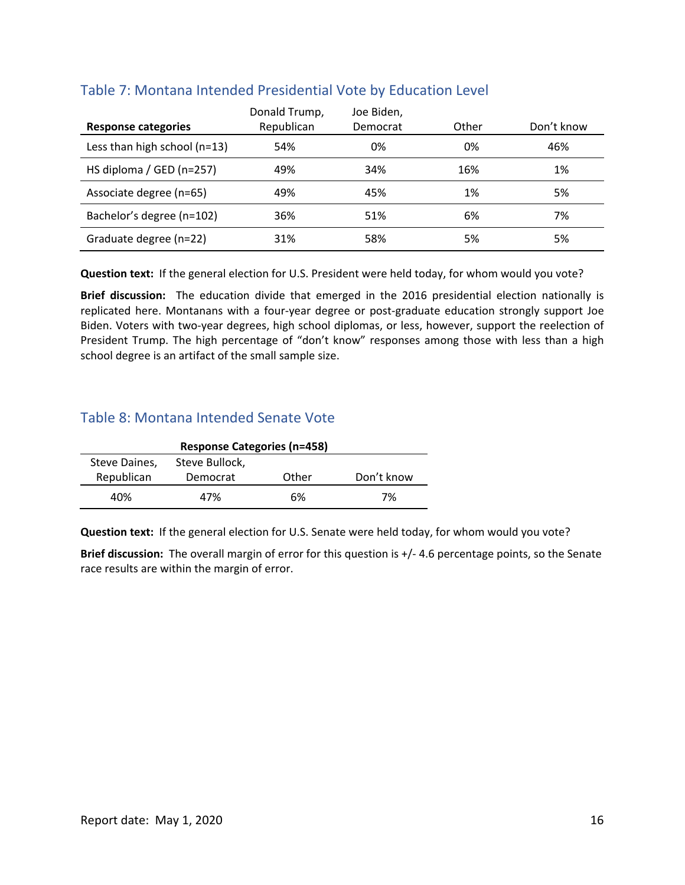| <b>Response categories</b>   | Donald Trump,<br>Republican | Joe Biden,<br>Democrat | Other | Don't know |
|------------------------------|-----------------------------|------------------------|-------|------------|
| Less than high school (n=13) | 54%                         | 0%                     | 0%    | 46%        |
| HS diploma / GED (n=257)     | 49%                         | 34%                    | 16%   | 1%         |
| Associate degree (n=65)      | 49%                         | 45%                    | 1%    | 5%         |
| Bachelor's degree (n=102)    | 36%                         | 51%                    | 6%    | 7%         |
| Graduate degree (n=22)       | 31%                         | 58%                    | 5%    | 5%         |

## Table 7: Montana Intended Presidential Vote by Education Level

**Question text:** If the general election for U.S. President were held today, for whom would you vote?

Brief discussion: The education divide that emerged in the 2016 presidential election nationally is replicated here. Montanans with a four‐year degree or post‐graduate education strongly support Joe Biden. Voters with two‐year degrees, high school diplomas, or less, however, support the reelection of President Trump. The high percentage of "don't know" responses among those with less than a high school degree is an artifact of the small sample size.

# Table 8: Montana Intended Senate Vote

| <b>Response Categories (n=458)</b> |          |       |            |  |  |
|------------------------------------|----------|-------|------------|--|--|
| Steve Bullock,<br>Steve Daines,    |          |       |            |  |  |
| Republican                         | Democrat | Other | Don't know |  |  |
| 40%                                | 47%      | 6%    | 7%         |  |  |

**Question text:** If the general election for U.S. Senate were held today, for whom would you vote?

 **Brief discussion:** The overall margin of error for this question is +/‐ 4.6 percentage points, so the Senate race results are within the margin of error.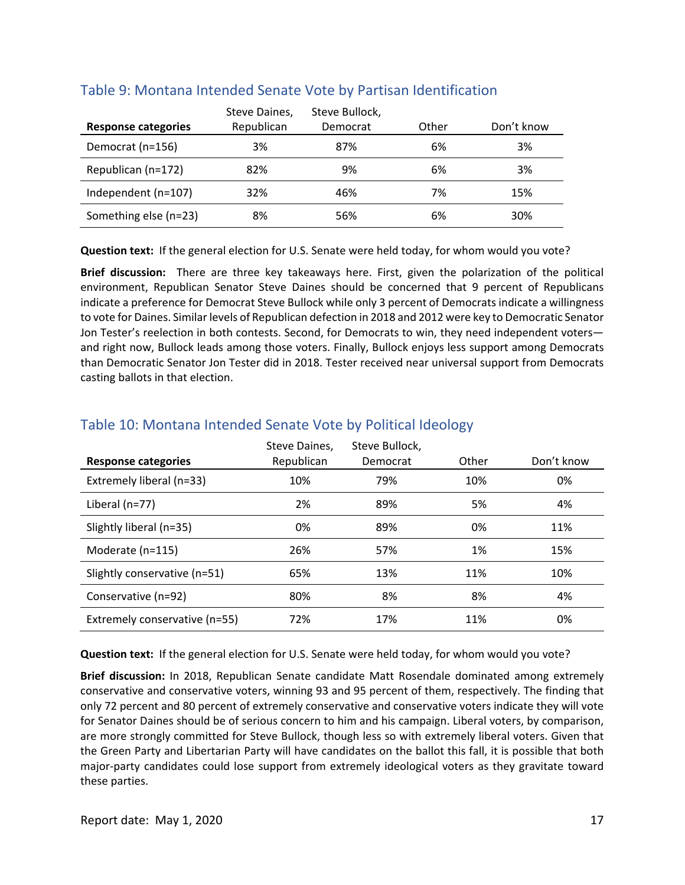|                       | Steve Daines, | Steve Bullock, |       |            |
|-----------------------|---------------|----------------|-------|------------|
| Response categories   | Republican    | Democrat       | Other | Don't know |
| Democrat (n=156)      | 3%            | 87%            | 6%    | 3%         |
| Republican (n=172)    | 82%           | 9%             | 6%    | 3%         |
| Independent (n=107)   | 32%           | 46%            | 7%    | 15%        |
| Something else (n=23) | 8%            | 56%            | 6%    | 30%        |

#### Table 9: Montana Intended Senate Vote by Partisan Identification

**Question text:** If the general election for U.S. Senate were held today, for whom would you vote?

 **Brief discussion:** There are three key takeaways here. First, given the polarization of the political environment, Republican Senator Steve Daines should be concerned that 9 percent of Republicans indicate a preference for Democrat Steve Bullock while only 3 percent of Democrats indicate a willingness to vote for Daines. Similar levels of Republican defection in 2018 and 2012 were key to Democratic Senator Jon Tester's reelection in both contests. Second, for Democrats to win, they need independent voters— and right now, Bullock leads among those voters. Finally, Bullock enjoys less support among Democrats than Democratic Senator Jon Tester did in 2018. Tester received near universal support from Democrats casting ballots in that election.

| <b>Response categories</b>    | Steve Daines,<br>Republican | Steve Bullock,<br>Democrat | Other | Don't know |
|-------------------------------|-----------------------------|----------------------------|-------|------------|
| Extremely liberal (n=33)      | 10%                         | 79%                        | 10%   | 0%         |
| Liberal $(n=77)$              | 2%                          | 89%                        | 5%    | 4%         |
| Slightly liberal (n=35)       | 0%                          | 89%                        | 0%    | 11%        |
| Moderate (n=115)              | 26%                         | 57%                        | 1%    | 15%        |
| Slightly conservative (n=51)  | 65%                         | 13%                        | 11%   | 10%        |
| Conservative (n=92)           | 80%                         | 8%                         | 8%    | 4%         |
| Extremely conservative (n=55) | 72%                         | 17%                        | 11%   | 0%         |

#### Table 10: Montana Intended Senate Vote by Political Ideology

**Question text:** If the general election for U.S. Senate were held today, for whom would you vote?

 **Brief discussion:** In 2018, Republican Senate candidate Matt Rosendale dominated among extremely conservative and conservative voters, winning 93 and 95 percent of them, respectively. The finding that only 72 percent and 80 percent of extremely conservative and conservative voters indicate they will vote for Senator Daines should be of serious concern to him and his campaign. Liberal voters, by comparison, are more strongly committed for Steve Bullock, though less so with extremely liberal voters. Given that the Green Party and Libertarian Party will have candidates on the ballot this fall, it is possible that both major‐party candidates could lose support from extremely ideological voters as they gravitate toward these parties.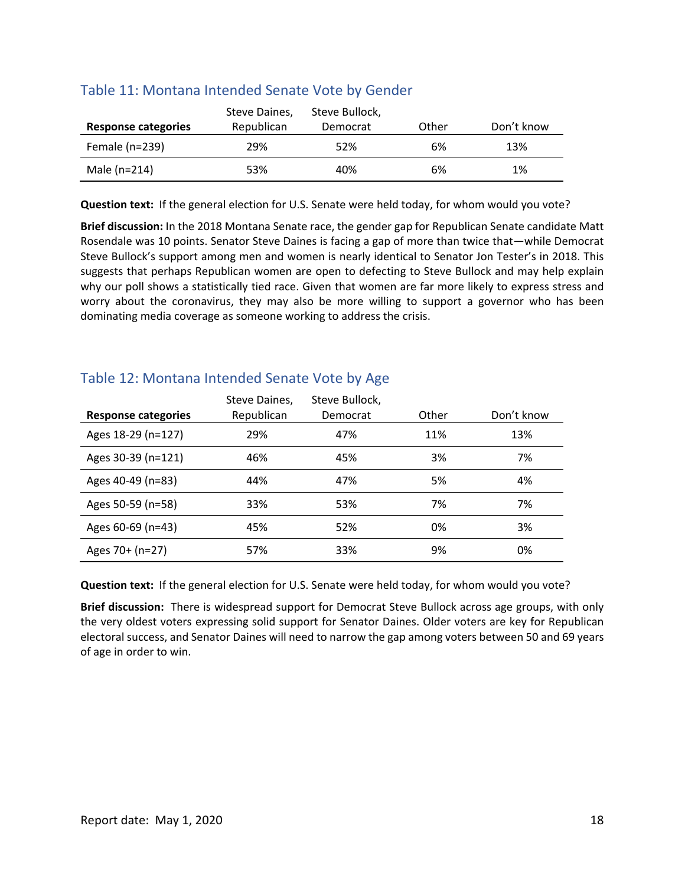|                     | Steve Daines, | Steve Bullock, |       |            |
|---------------------|---------------|----------------|-------|------------|
| Response categories | Republican    | Democrat       | Other | Don't know |
| Female $(n=239)$    | 29%           | 52%            | 6%    | 13%        |
| Male $(n=214)$      | 53%           | 40%            | 6%    | 1%         |

#### Table 11: Montana Intended Senate Vote by Gender

**Question text:** If the general election for U.S. Senate were held today, for whom would you vote?

 **Brief discussion:** In the 2018 Montana Senate race, the gender gap for Republican Senate candidate Matt Rosendale was 10 points. Senator Steve Daines is facing a gap of more than twice that—while Democrat Steve Bullock's support among men and women is nearly identical to Senator Jon Tester's in 2018. This suggests that perhaps Republican women are open to defecting to Steve Bullock and may help explain why our poll shows a statistically tied race. Given that women are far more likely to express stress and worry about the coronavirus, they may also be more willing to support a governor who has been dominating media coverage as someone working to address the crisis.

### Table 12: Montana Intended Senate Vote by Age

|                     | Steve Daines, | Steve Bullock, |       |            |
|---------------------|---------------|----------------|-------|------------|
| Response categories | Republican    | Democrat       | Other | Don't know |
| Ages 18-29 (n=127)  | 29%           | 47%            | 11%   | 13%        |
| Ages 30-39 (n=121)  | 46%           | 45%            | 3%    | 7%         |
| Ages 40-49 (n=83)   | 44%           | 47%            | 5%    | 4%         |
| Ages 50-59 (n=58)   | 33%           | 53%            | 7%    | 7%         |
| Ages 60-69 (n=43)   | 45%           | 52%            | 0%    | 3%         |
| Ages 70+ (n=27)     | 57%           | 33%            | 9%    | 0%         |

**Question text:** If the general election for U.S. Senate were held today, for whom would you vote?

 **Brief discussion:** There is widespread support for Democrat Steve Bullock across age groups, with only the very oldest voters expressing solid support for Senator Daines. Older voters are key for Republican electoral success, and Senator Daines will need to narrow the gap among voters between 50 and 69 years of age in order to win.